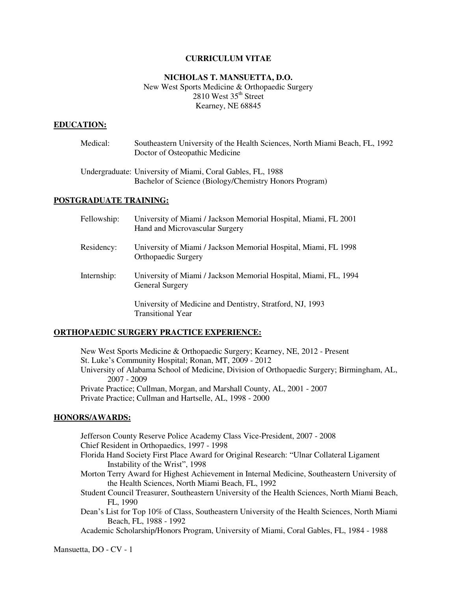### **CURRICULUM VITAE**

# **NICHOLAS T. MANSUETTA, D.O.**  New West Sports Medicine & Orthopaedic Surgery  $2810$  West  $35<sup>th</sup>$  Street Kearney, NE 68845

### **EDUCATION:**

| Medical: | Southeastern University of the Health Sciences, North Miami Beach, FL, 1992<br>Doctor of Osteopathic Medicine        |
|----------|----------------------------------------------------------------------------------------------------------------------|
|          | Undergraduate: University of Miami, Coral Gables, FL, 1988<br>Bachelor of Science (Biology/Chemistry Honors Program) |

### **POSTGRADUATE TRAINING:**

| Fellowship: | University of Miami / Jackson Memorial Hospital, Miami, FL 2001<br>Hand and Microvascular Surgery |
|-------------|---------------------------------------------------------------------------------------------------|
| Residency:  | University of Miami / Jackson Memorial Hospital, Miami, FL 1998<br><b>Orthopaedic Surgery</b>     |
| Internship: | University of Miami / Jackson Memorial Hospital, Miami, FL, 1994<br><b>General Surgery</b>        |
|             | University of Medicine and Dentistry, Stratford, NJ, 1993<br><b>Transitional Year</b>             |

### **ORTHOPAEDIC SURGERY PRACTICE EXPERIENCE:**

 New West Sports Medicine & Orthopaedic Surgery; Kearney, NE, 2012 - Present St. Luke's Community Hospital; Ronan, MT, 2009 - 2012 University of Alabama School of Medicine, Division of Orthopaedic Surgery; Birmingham, AL, 2007 - 2009 Private Practice; Cullman, Morgan, and Marshall County, AL, 2001 - 2007 Private Practice; Cullman and Hartselle, AL, 1998 - 2000

# **HONORS/AWARDS:**

Jefferson County Reserve Police Academy Class Vice-President, 2007 - 2008 Chief Resident in Orthopaedics, 1997 - 1998

- Florida Hand Society First Place Award for Original Research: "Ulnar Collateral Ligament Instability of the Wrist", 1998
- Morton Terry Award for Highest Achievement in Internal Medicine, Southeastern University of the Health Sciences, North Miami Beach, FL, 1992
- Student Council Treasurer, Southeastern University of the Health Sciences, North Miami Beach, FL, 1990
- Dean's List for Top 10% of Class, Southeastern University of the Health Sciences, North Miami Beach, FL, 1988 - 1992

Academic Scholarship/Honors Program, University of Miami, Coral Gables, FL, 1984 - 1988

Mansuetta, DO - CV - 1